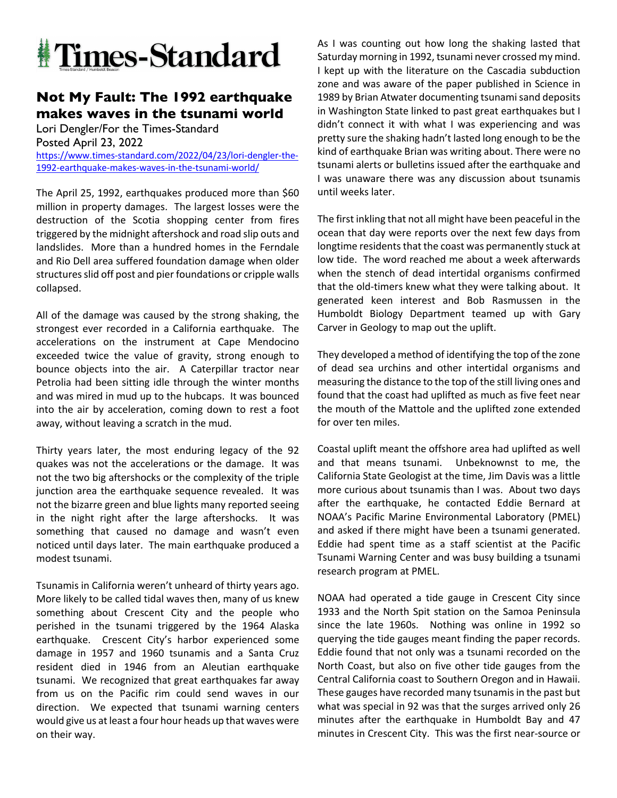

## **Not My Fault: The 1992 earthquake makes waves in the tsunami world**

Lori Dengler/For the Times-Standard Posted April 23, 2022 https://www.times-standard.com/2022/04/23/lori-dengler-the-1992-earthquake-makes-waves-in-the-tsunami-world/

The April 25, 1992, earthquakes produced more than \$60 million in property damages. The largest losses were the destruction of the Scotia shopping center from fires triggered by the midnight aftershock and road slip outs and landslides. More than a hundred homes in the Ferndale and Rio Dell area suffered foundation damage when older structures slid off post and pier foundations or cripple walls collapsed.

All of the damage was caused by the strong shaking, the strongest ever recorded in a California earthquake. The accelerations on the instrument at Cape Mendocino exceeded twice the value of gravity, strong enough to bounce objects into the air. A Caterpillar tractor near Petrolia had been sitting idle through the winter months and was mired in mud up to the hubcaps. It was bounced into the air by acceleration, coming down to rest a foot away, without leaving a scratch in the mud.

Thirty years later, the most enduring legacy of the 92 quakes was not the accelerations or the damage. It was not the two big aftershocks or the complexity of the triple junction area the earthquake sequence revealed. It was not the bizarre green and blue lights many reported seeing in the night right after the large aftershocks. It was something that caused no damage and wasn't even noticed until days later. The main earthquake produced a modest tsunami.

Tsunamis in California weren't unheard of thirty years ago. More likely to be called tidal waves then, many of us knew something about Crescent City and the people who perished in the tsunami triggered by the 1964 Alaska earthquake. Crescent City's harbor experienced some damage in 1957 and 1960 tsunamis and a Santa Cruz resident died in 1946 from an Aleutian earthquake tsunami. We recognized that great earthquakes far away from us on the Pacific rim could send waves in our direction. We expected that tsunami warning centers would give us at least a four hour heads up that waves were on their way.

As I was counting out how long the shaking lasted that Saturday morning in 1992, tsunami never crossed my mind. I kept up with the literature on the Cascadia subduction zone and was aware of the paper published in Science in 1989 by Brian Atwater documenting tsunami sand deposits in Washington State linked to past great earthquakes but I didn't connect it with what I was experiencing and was pretty sure the shaking hadn't lasted long enough to be the kind of earthquake Brian was writing about. There were no tsunami alerts or bulletins issued after the earthquake and I was unaware there was any discussion about tsunamis until weeks later.

The first inkling that not all might have been peaceful in the ocean that day were reports over the next few days from longtime residents that the coast was permanently stuck at low tide. The word reached me about a week afterwards when the stench of dead intertidal organisms confirmed that the old-timers knew what they were talking about. It generated keen interest and Bob Rasmussen in the Humboldt Biology Department teamed up with Gary Carver in Geology to map out the uplift.

They developed a method of identifying the top of the zone of dead sea urchins and other intertidal organisms and measuring the distance to the top of the still living ones and found that the coast had uplifted as much as five feet near the mouth of the Mattole and the uplifted zone extended for over ten miles.

Coastal uplift meant the offshore area had uplifted as well and that means tsunami. Unbeknownst to me, the California State Geologist at the time, Jim Davis was a little more curious about tsunamis than I was. About two days after the earthquake, he contacted Eddie Bernard at NOAA's Pacific Marine Environmental Laboratory (PMEL) and asked if there might have been a tsunami generated. Eddie had spent time as a staff scientist at the Pacific Tsunami Warning Center and was busy building a tsunami research program at PMEL.

NOAA had operated a tide gauge in Crescent City since 1933 and the North Spit station on the Samoa Peninsula since the late 1960s. Nothing was online in 1992 so querying the tide gauges meant finding the paper records. Eddie found that not only was a tsunami recorded on the North Coast, but also on five other tide gauges from the Central California coast to Southern Oregon and in Hawaii. These gauges have recorded many tsunamis in the past but what was special in 92 was that the surges arrived only 26 minutes after the earthquake in Humboldt Bay and 47 minutes in Crescent City. This was the first near-source or